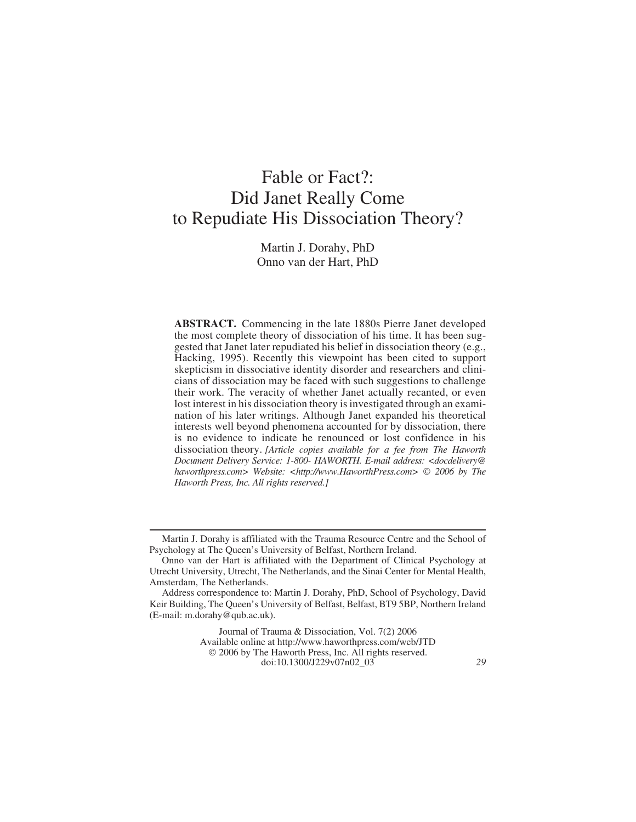## Fable or Fact?: Did Janet Really Come to Repudiate His Dissociation Theory?

Martin J. Dorahy, PhD Onno van der Hart, PhD

**ABSTRACT.** Commencing in the late 1880s Pierre Janet developed the most complete theory of dissociation of his time. It has been suggested that Janet later repudiated his belief in dissociation theory (e.g., Hacking, 1995). Recently this viewpoint has been cited to support skepticism in dissociative identity disorder and researchers and clinicians of dissociation may be faced with such suggestions to challenge their work. The veracity of whether Janet actually recanted, or even lost interest in his dissociation theory is investigated through an examination of his later writings. Although Janet expanded his theoretical interests well beyond phenomena accounted for by dissociation, there is no evidence to indicate he renounced or lost confidence in his dissociation theory. *[Article copies available for a fee from The Haworth Document Delivery Service: 1-800- HAWORTH. E-mail address: <docdelivery@ haworthpress.com> Website: [<http://www.HaworthPress.com>](http://www.HaworthPress.com)* © *2006 by The Haworth Press, Inc. All rights reserved.]*

Journal of Trauma & Dissociation, Vol. 7(2) 2006 Available online at<http://www.haworthpress.com/web/JTD> © 2006 by The Haworth Press, Inc. All rights reserved. doi:10.1300/J229v07n02\_03 *29*

Martin J. Dorahy is affiliated with the Trauma Resource Centre and the School of Psychology at The Queen's University of Belfast, Northern Ireland.

Onno van der Hart is affiliated with the Department of Clinical Psychology at Utrecht University, Utrecht, The Netherlands, and the Sinai Center for Mental Health, Amsterdam, The Netherlands.

Address correspondence to: Martin J. Dorahy, PhD, School of Psychology, David Keir Building, The Queen's University of Belfast, Belfast, BT9 5BP, Northern Ireland (E-mail: m.dorahy@qub.ac.uk).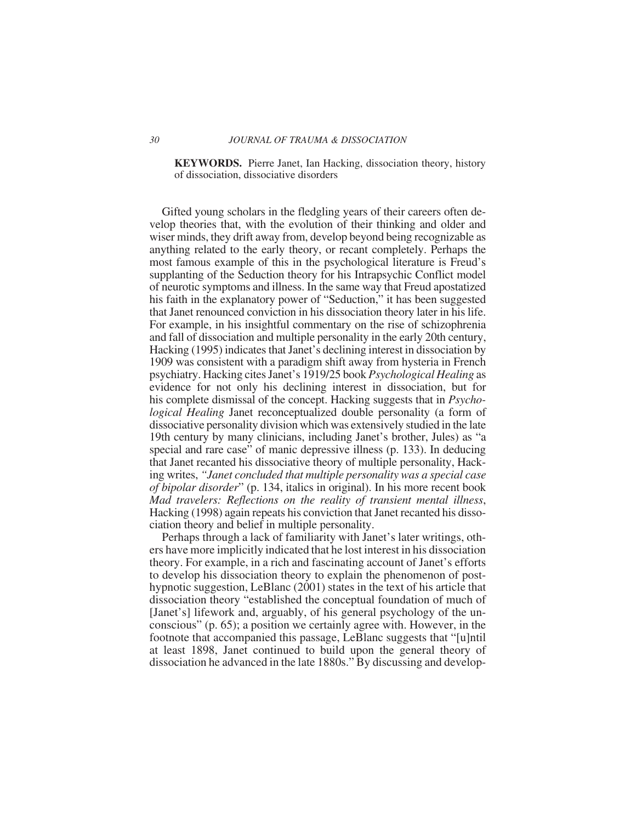**KEYWORDS.** Pierre Janet, Ian Hacking, dissociation theory, history of dissociation, dissociative disorders

Gifted young scholars in the fledgling years of their careers often develop theories that, with the evolution of their thinking and older and wiser minds, they drift away from, develop beyond being recognizable as anything related to the early theory, or recant completely. Perhaps the most famous example of this in the psychological literature is Freud's supplanting of the Seduction theory for his Intrapsychic Conflict model of neurotic symptoms and illness. In the same way that Freud apostatized his faith in the explanatory power of "Seduction," it has been suggested that Janet renounced conviction in his dissociation theory later in his life. For example, in his insightful commentary on the rise of schizophrenia and fall of dissociation and multiple personality in the early 20th century, Hacking (1995) indicates that Janet's declining interest in dissociation by 1909 was consistent with a paradigm shift away from hysteria in French psychiatry. Hacking cites Janet's 1919/25 book *Psychological Healing* as evidence for not only his declining interest in dissociation, but for his complete dismissal of the concept. Hacking suggests that in *Psychological Healing* Janet reconceptualized double personality (a form of dissociative personality division which was extensively studied in the late 19th century by many clinicians, including Janet's brother, Jules) as "a special and rare case" of manic depressive illness (p. 133). In deducing that Janet recanted his dissociative theory of multiple personality, Hacking writes, *"Janet concluded that multiple personality was a special case of bipolar disorder*" (p. 134, italics in original). In his more recent book *Mad travelers: Reflections on the reality of transient mental illness*, Hacking (1998) again repeats his conviction that Janet recanted his dissociation theory and belief in multiple personality.

Perhaps through a lack of familiarity with Janet's later writings, others have more implicitly indicated that he lost interest in his dissociation theory. For example, in a rich and fascinating account of Janet's efforts to develop his dissociation theory to explain the phenomenon of posthypnotic suggestion, LeBlanc (2001) states in the text of his article that dissociation theory "established the conceptual foundation of much of [Janet's] lifework and, arguably, of his general psychology of the unconscious" (p. 65); a position we certainly agree with. However, in the footnote that accompanied this passage, LeBlanc suggests that "[u]ntil at least 1898, Janet continued to build upon the general theory of dissociation he advanced in the late 1880s." By discussing and develop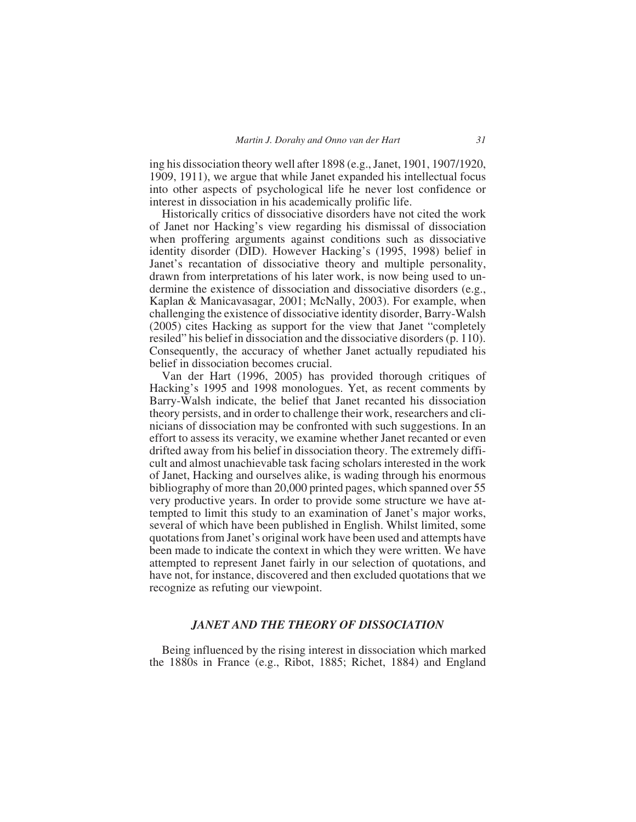ing his dissociation theory well after 1898 (e.g., Janet, 1901, 1907/1920, 1909, 1911), we argue that while Janet expanded his intellectual focus into other aspects of psychological life he never lost confidence or interest in dissociation in his academically prolific life.

Historically critics of dissociative disorders have not cited the work of Janet nor Hacking's view regarding his dismissal of dissociation when proffering arguments against conditions such as dissociative identity disorder (DID). However Hacking's (1995, 1998) belief in Janet's recantation of dissociative theory and multiple personality, drawn from interpretations of his later work, is now being used to undermine the existence of dissociation and dissociative disorders (e.g., Kaplan & Manicavasagar, 2001; McNally, 2003). For example, when challenging the existence of dissociative identity disorder, Barry-Walsh (2005) cites Hacking as support for the view that Janet "completely resiled" his belief in dissociation and the dissociative disorders (p. 110). Consequently, the accuracy of whether Janet actually repudiated his belief in dissociation becomes crucial.

Van der Hart (1996, 2005) has provided thorough critiques of Hacking's 1995 and 1998 monologues. Yet, as recent comments by Barry-Walsh indicate, the belief that Janet recanted his dissociation theory persists, and in order to challenge their work, researchers and clinicians of dissociation may be confronted with such suggestions. In an effort to assess its veracity, we examine whether Janet recanted or even drifted away from his belief in dissociation theory. The extremely difficult and almost unachievable task facing scholars interested in the work of Janet, Hacking and ourselves alike, is wading through his enormous bibliography of more than 20,000 printed pages, which spanned over 55 very productive years. In order to provide some structure we have attempted to limit this study to an examination of Janet's major works, several of which have been published in English. Whilst limited, some quotations from Janet's original work have been used and attempts have been made to indicate the context in which they were written. We have attempted to represent Janet fairly in our selection of quotations, and have not, for instance, discovered and then excluded quotations that we recognize as refuting our viewpoint.

## *JANET AND THE THEORY OF DISSOCIATION*

Being influenced by the rising interest in dissociation which marked the 1880s in France (e.g., Ribot, 1885; Richet, 1884) and England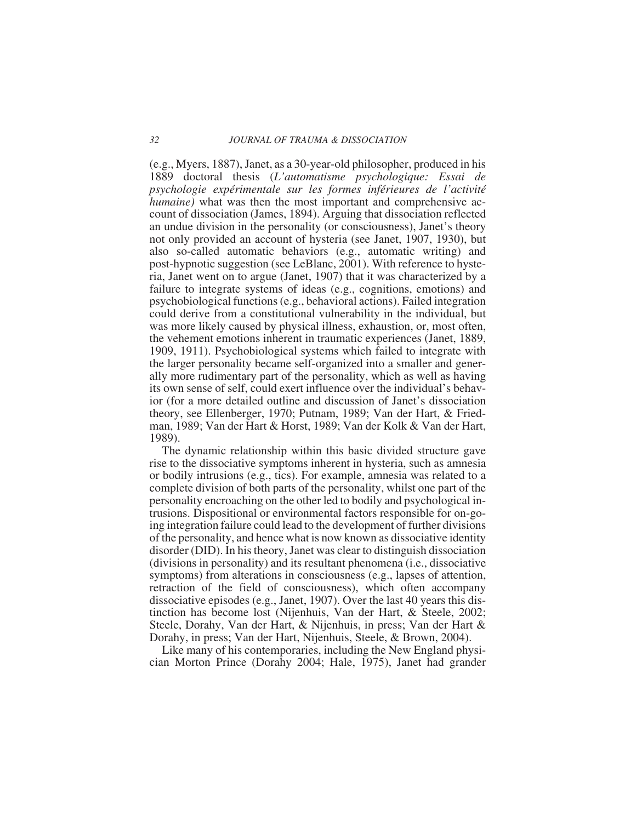(e.g., Myers, 1887), Janet, as a 30-year-old philosopher, produced in his 1889 doctoral thesis (*L'automatisme psychologique: Essai de psychologie expérimentale sur les formes inférieures de l'activité humaine)* what was then the most important and comprehensive account of dissociation (James, 1894). Arguing that dissociation reflected an undue division in the personality (or consciousness), Janet's theory not only provided an account of hysteria (see Janet, 1907, 1930), but also so-called automatic behaviors (e.g., automatic writing) and post-hypnotic suggestion (see LeBlanc, 2001). With reference to hysteria, Janet went on to argue (Janet, 1907) that it was characterized by a failure to integrate systems of ideas (e.g., cognitions, emotions) and psychobiological functions (e.g., behavioral actions). Failed integration could derive from a constitutional vulnerability in the individual, but was more likely caused by physical illness, exhaustion, or, most often, the vehement emotions inherent in traumatic experiences (Janet, 1889, 1909, 1911). Psychobiological systems which failed to integrate with the larger personality became self-organized into a smaller and generally more rudimentary part of the personality, which as well as having its own sense of self, could exert influence over the individual's behavior (for a more detailed outline and discussion of Janet's dissociation theory, see Ellenberger, 1970; Putnam, 1989; Van der Hart, & Friedman, 1989; Van der Hart & Horst, 1989; Van der Kolk & Van der Hart, 1989).

The dynamic relationship within this basic divided structure gave rise to the dissociative symptoms inherent in hysteria, such as amnesia or bodily intrusions (e.g., tics). For example, amnesia was related to a complete division of both parts of the personality, whilst one part of the personality encroaching on the other led to bodily and psychological intrusions. Dispositional or environmental factors responsible for on-going integration failure could lead to the development of further divisions of the personality, and hence what is now known as dissociative identity disorder (DID). In his theory, Janet was clear to distinguish dissociation (divisions in personality) and its resultant phenomena (i.e., dissociative symptoms) from alterations in consciousness (e.g., lapses of attention, retraction of the field of consciousness), which often accompany dissociative episodes (e.g., Janet, 1907). Over the last 40 years this distinction has become lost (Nijenhuis, Van der Hart, & Steele, 2002; Steele, Dorahy, Van der Hart, & Nijenhuis, in press; Van der Hart & Dorahy, in press; Van der Hart, Nijenhuis, Steele, & Brown, 2004).

Like many of his contemporaries, including the New England physician Morton Prince (Dorahy 2004; Hale, 1975), Janet had grander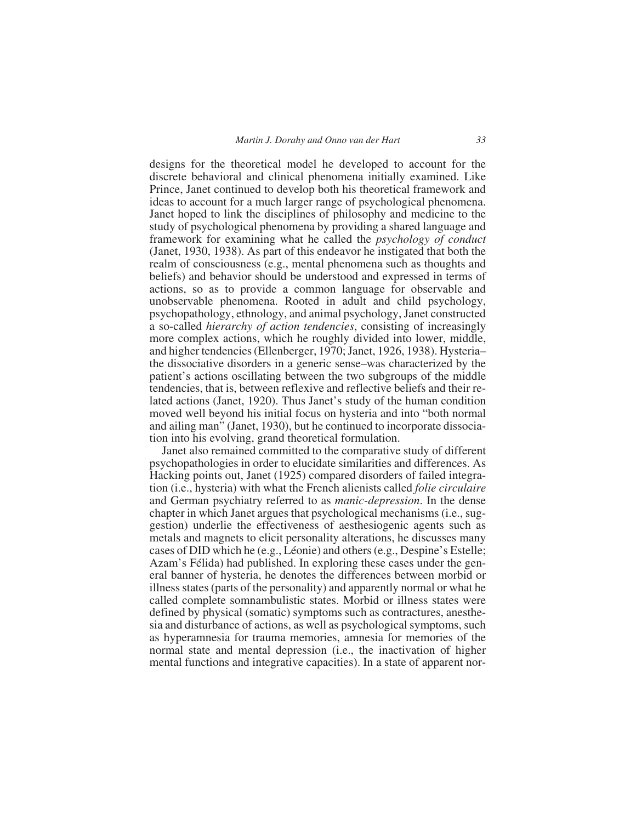designs for the theoretical model he developed to account for the discrete behavioral and clinical phenomena initially examined. Like Prince, Janet continued to develop both his theoretical framework and ideas to account for a much larger range of psychological phenomena. Janet hoped to link the disciplines of philosophy and medicine to the study of psychological phenomena by providing a shared language and framework for examining what he called the *psychology of conduct* (Janet, 1930, 1938). As part of this endeavor he instigated that both the realm of consciousness (e.g., mental phenomena such as thoughts and beliefs) and behavior should be understood and expressed in terms of actions, so as to provide a common language for observable and unobservable phenomena. Rooted in adult and child psychology, psychopathology, ethnology, and animal psychology, Janet constructed a so-called *hierarchy of action tendencies*, consisting of increasingly more complex actions, which he roughly divided into lower, middle, and higher tendencies (Ellenberger, 1970; Janet, 1926, 1938). Hysteria– the dissociative disorders in a generic sense–was characterized by the patient's actions oscillating between the two subgroups of the middle tendencies, that is, between reflexive and reflective beliefs and their related actions (Janet, 1920). Thus Janet's study of the human condition moved well beyond his initial focus on hysteria and into "both normal and ailing man" (Janet, 1930), but he continued to incorporate dissociation into his evolving, grand theoretical formulation.

Janet also remained committed to the comparative study of different psychopathologies in order to elucidate similarities and differences. As Hacking points out, Janet (1925) compared disorders of failed integration (i.e., hysteria) with what the French alienists called *folie circulaire* and German psychiatry referred to as *manic-depression*. In the dense chapter in which Janet argues that psychological mechanisms (i.e., suggestion) underlie the effectiveness of aesthesiogenic agents such as metals and magnets to elicit personality alterations, he discusses many cases of DID which he (e.g., Léonie) and others (e.g., Despine's Estelle; Azam's Félida) had published. In exploring these cases under the general banner of hysteria, he denotes the differences between morbid or illness states (parts of the personality) and apparently normal or what he called complete somnambulistic states. Morbid or illness states were defined by physical (somatic) symptoms such as contractures, anesthesia and disturbance of actions, as well as psychological symptoms, such as hyperamnesia for trauma memories, amnesia for memories of the normal state and mental depression (i.e., the inactivation of higher mental functions and integrative capacities). In a state of apparent nor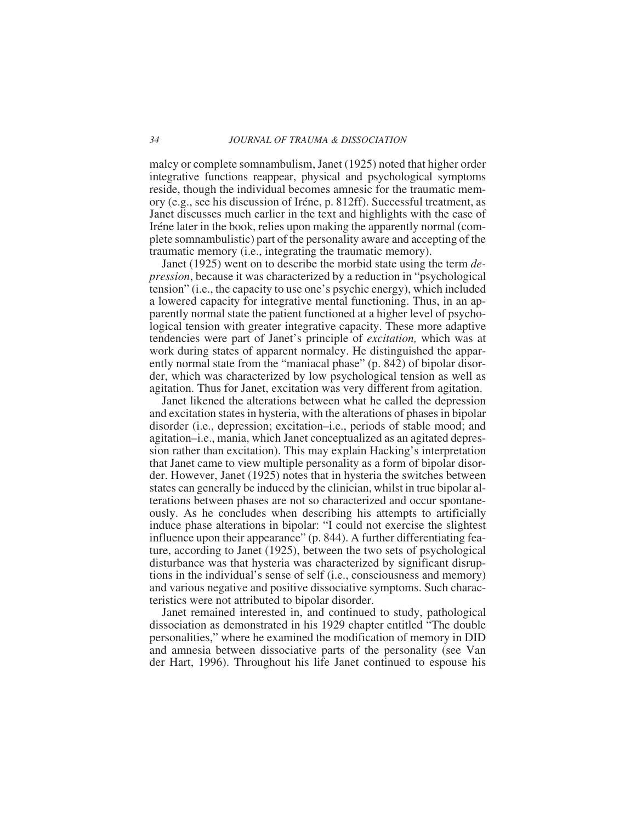malcy or complete somnambulism, Janet (1925) noted that higher order integrative functions reappear, physical and psychological symptoms reside, though the individual becomes amnesic for the traumatic memory (e.g., see his discussion of Iréne, p. 812ff). Successful treatment, as Janet discusses much earlier in the text and highlights with the case of Iréne later in the book, relies upon making the apparently normal (complete somnambulistic) part of the personality aware and accepting of the traumatic memory (i.e., integrating the traumatic memory).

Janet (1925) went on to describe the morbid state using the term *depression*, because it was characterized by a reduction in "psychological tension" (i.e., the capacity to use one's psychic energy), which included a lowered capacity for integrative mental functioning. Thus, in an apparently normal state the patient functioned at a higher level of psychological tension with greater integrative capacity. These more adaptive tendencies were part of Janet's principle of *excitation,* which was at work during states of apparent normalcy. He distinguished the apparently normal state from the "maniacal phase" (p. 842) of bipolar disorder, which was characterized by low psychological tension as well as agitation. Thus for Janet, excitation was very different from agitation.

Janet likened the alterations between what he called the depression and excitation states in hysteria, with the alterations of phases in bipolar disorder (i.e., depression; excitation–i.e., periods of stable mood; and agitation–i.e., mania, which Janet conceptualized as an agitated depression rather than excitation). This may explain Hacking's interpretation that Janet came to view multiple personality as a form of bipolar disorder. However, Janet (1925) notes that in hysteria the switches between states can generally be induced by the clinician, whilst in true bipolar alterations between phases are not so characterized and occur spontaneously. As he concludes when describing his attempts to artificially induce phase alterations in bipolar: "I could not exercise the slightest influence upon their appearance" (p. 844). A further differentiating feature, according to Janet (1925), between the two sets of psychological disturbance was that hysteria was characterized by significant disruptions in the individual's sense of self (i.e., consciousness and memory) and various negative and positive dissociative symptoms. Such characteristics were not attributed to bipolar disorder.

Janet remained interested in, and continued to study, pathological dissociation as demonstrated in his 1929 chapter entitled "The double personalities," where he examined the modification of memory in DID and amnesia between dissociative parts of the personality (see Van der Hart, 1996). Throughout his life Janet continued to espouse his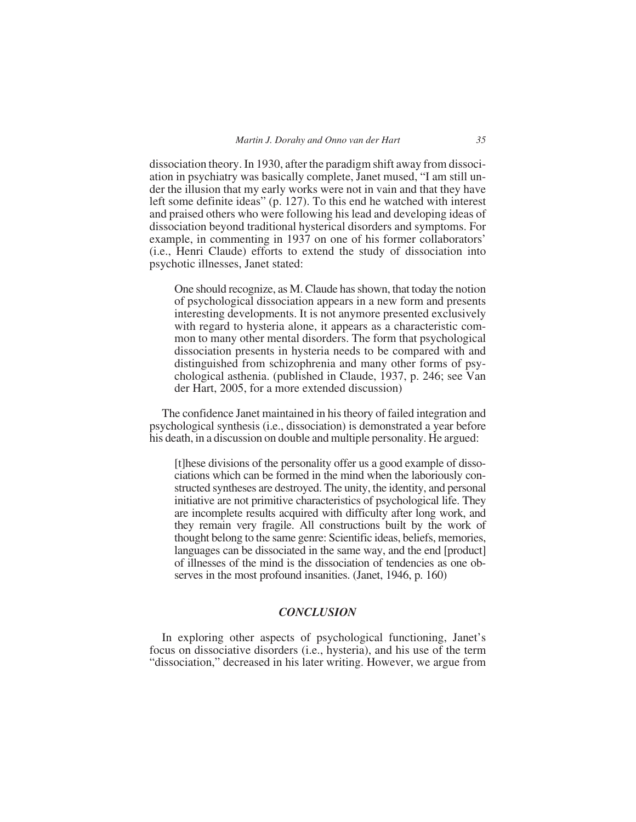dissociation theory. In 1930, after the paradigm shift away from dissociation in psychiatry was basically complete, Janet mused, "I am still under the illusion that my early works were not in vain and that they have left some definite ideas" (p. 127). To this end he watched with interest and praised others who were following his lead and developing ideas of dissociation beyond traditional hysterical disorders and symptoms. For example, in commenting in 1937 on one of his former collaborators' (i.e., Henri Claude) efforts to extend the study of dissociation into psychotic illnesses, Janet stated:

One should recognize, as M. Claude has shown, that today the notion of psychological dissociation appears in a new form and presents interesting developments. It is not anymore presented exclusively with regard to hysteria alone, it appears as a characteristic common to many other mental disorders. The form that psychological dissociation presents in hysteria needs to be compared with and distinguished from schizophrenia and many other forms of psychological asthenia. (published in Claude, 1937, p. 246; see Van der Hart, 2005, for a more extended discussion)

The confidence Janet maintained in his theory of failed integration and psychological synthesis (i.e., dissociation) is demonstrated a year before his death, in a discussion on double and multiple personality. He argued:

[t]hese divisions of the personality offer us a good example of dissociations which can be formed in the mind when the laboriously constructed syntheses are destroyed. The unity, the identity, and personal initiative are not primitive characteristics of psychological life. They are incomplete results acquired with difficulty after long work, and they remain very fragile. All constructions built by the work of thought belong to the same genre: Scientific ideas, beliefs, memories, languages can be dissociated in the same way, and the end [product] of illnesses of the mind is the dissociation of tendencies as one observes in the most profound insanities. (Janet, 1946, p. 160)

## *CONCLUSION*

In exploring other aspects of psychological functioning, Janet's focus on dissociative disorders (i.e., hysteria), and his use of the term "dissociation," decreased in his later writing. However, we argue from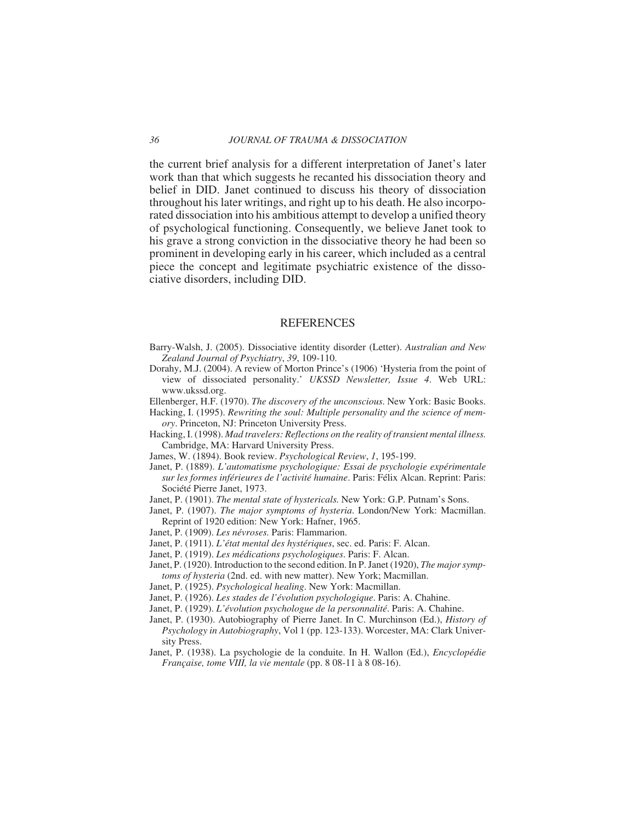the current brief analysis for a different interpretation of Janet's later work than that which suggests he recanted his dissociation theory and belief in DID. Janet continued to discuss his theory of dissociation throughout his later writings, and right up to his death. He also incorporated dissociation into his ambitious attempt to develop a unified theory of psychological functioning. Consequently, we believe Janet took to his grave a strong conviction in the dissociative theory he had been so prominent in developing early in his career, which included as a central piece the concept and legitimate psychiatric existence of the dissociative disorders, including DID.

## REFERENCES

- Barry-Walsh, J. (2005). Dissociative identity disorder (Letter). *Australian and New Zealand Journal of Psychiatry*, *39*, 109-110.
- Dorahy, M.J. (2004). A review of Morton Prince's (1906) 'Hysteria from the point of view of dissociated personality.' *UKSSD Newsletter, Issue 4*. Web URL: www.ukssd.org.
- Ellenberger, H.F. (1970). *The discovery of the unconscious*. New York: Basic Books.
- Hacking, I. (1995). *Rewriting the soul: Multiple personality and the science of memory*. Princeton, NJ: Princeton University Press.
- Hacking, I. (1998). *Mad travelers: Reflections on the reality of transient mental illness.* Cambridge, MA: Harvard University Press.
- James, W. (1894). Book review. *Psychological Review*, *1*, 195-199.
- Janet, P. (1889). *L'automatisme psychologique: Essai de psychologie expérimentale sur les formes inférieures de l'activité humaine*. Paris: Félix Alcan. Reprint: Paris: Société Pierre Janet, 1973.
- Janet, P. (1901). *The mental state of hystericals.* New York: G.P. Putnam's Sons.
- Janet, P. (1907). *The major symptoms of hysteria*. London/New York: Macmillan. Reprint of 1920 edition: New York: Hafner, 1965.
- Janet, P. (1909). *Les névroses.* Paris: Flammarion.
- Janet, P. (1911). *L'état mental des hystériques*, sec. ed. Paris: F. Alcan.
- Janet, P. (1919). *Les médications psychologiques*. Paris: F. Alcan.
- Janet, P. (1920). Introduction to the second edition. In P. Janet (1920), *The major symptoms of hysteria* (2nd. ed. with new matter). New York; Macmillan.
- Janet, P. (1925). *Psychological healing*. New York: Macmillan.
- Janet, P. (1926). *Les stades de l'évolution psychologique*. Paris: A. Chahine.
- Janet, P. (1929). *L'évolution psychologue de la personnalité*. Paris: A. Chahine.
- Janet, P. (1930). Autobiography of Pierre Janet. In C. Murchinson (Ed.), *History of Psychology in Autobiography*, Vol 1 (pp. 123-133). Worcester, MA: Clark University Press.
- Janet, P. (1938). La psychologie de la conduite. In H. Wallon (Ed.), *Encyclopédie Française, tome VIII, la vie mentale* (pp. 8 08-11 à 8 08-16).